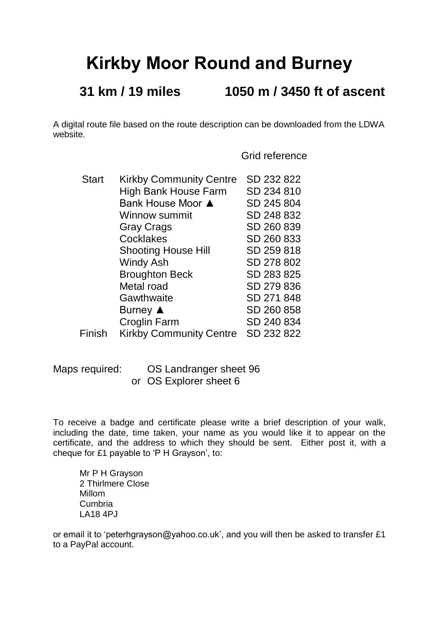## **Kirkby Moor Round and Burney**

## **31 km / 19 miles 1050 m / 3450 ft of ascent**

A digital route file based on the route description can be downloaded from the LDWA website.

Grid reference

| <b>Start</b> | <b>Kirkby Community Centre</b> | SD 232 822 |
|--------------|--------------------------------|------------|
|              | <b>High Bank House Farm</b>    | SD 234 810 |
|              | Bank House Moor ▲              | SD 245 804 |
|              | Winnow summit                  | SD 248 832 |
|              | <b>Gray Crags</b>              | SD 260 839 |
|              | <b>Cocklakes</b>               | SD 260 833 |
|              | <b>Shooting House Hill</b>     | SD 259 818 |
|              | <b>Windy Ash</b>               | SD 278 802 |
|              | <b>Broughton Beck</b>          | SD 283 825 |
|              | Metal road                     | SD 279 836 |
|              | Gawthwaite                     | SD 271 848 |
|              | Burney $\triangle$             | SD 260 858 |
|              | <b>Croglin Farm</b>            | SD 240 834 |
| Finish       | <b>Kirkby Community Centre</b> | SD 232 822 |

Maps required: OS Landranger sheet 96 or OS Explorer sheet 6

To receive a badge and certificate please write a brief description of your walk, including the date, time taken, your name as you would like it to appear on the certificate, and the address to which they should be sent. Either post it, with a cheque for £1 payable to 'P H Grayson', to:

Mr P H Grayson 2 Thirlmere Close Millom Cumbria LA18 4PJ

or email it to 'peterhgrayson@yahoo.co.uk', and you will then be asked to transfer £1 to a PayPal account.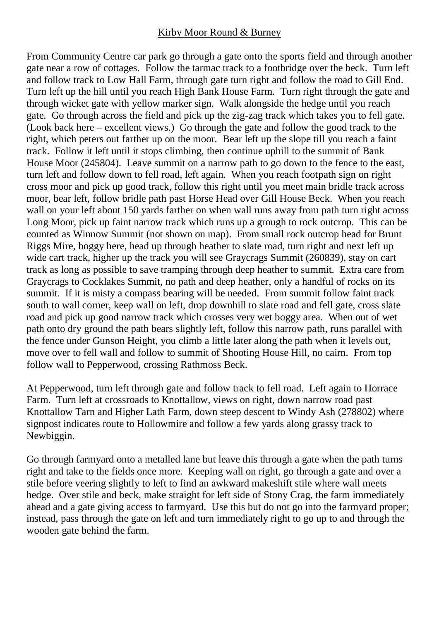## Kirby Moor Round & Burney

From Community Centre car park go through a gate onto the sports field and through another gate near a row of cottages. Follow the tarmac track to a footbridge over the beck. Turn left and follow track to Low Hall Farm, through gate turn right and follow the road to Gill End. Turn left up the hill until you reach High Bank House Farm. Turn right through the gate and through wicket gate with yellow marker sign. Walk alongside the hedge until you reach gate. Go through across the field and pick up the zig-zag track which takes you to fell gate. (Look back here – excellent views.) Go through the gate and follow the good track to the right, which peters out farther up on the moor. Bear left up the slope till you reach a faint track. Follow it left until it stops climbing, then continue uphill to the summit of Bank House Moor (245804). Leave summit on a narrow path to go down to the fence to the east, turn left and follow down to fell road, left again. When you reach footpath sign on right cross moor and pick up good track, follow this right until you meet main bridle track across moor, bear left, follow bridle path past Horse Head over Gill House Beck. When you reach wall on your left about 150 yards farther on when wall runs away from path turn right across Long Moor, pick up faint narrow track which runs up a grough to rock outcrop. This can be counted as Winnow Summit (not shown on map). From small rock outcrop head for Brunt Riggs Mire, boggy here, head up through heather to slate road, turn right and next left up wide cart track, higher up the track you will see Graycrags Summit (260839), stay on cart track as long as possible to save tramping through deep heather to summit. Extra care from Graycrags to Cocklakes Summit, no path and deep heather, only a handful of rocks on its summit. If it is misty a compass bearing will be needed. From summit follow faint track south to wall corner, keep wall on left, drop downhill to slate road and fell gate, cross slate road and pick up good narrow track which crosses very wet boggy area. When out of wet path onto dry ground the path bears slightly left, follow this narrow path, runs parallel with the fence under Gunson Height, you climb a little later along the path when it levels out, move over to fell wall and follow to summit of Shooting House Hill, no cairn. From top follow wall to Pepperwood, crossing Rathmoss Beck.

At Pepperwood, turn left through gate and follow track to fell road. Left again to Horrace Farm. Turn left at crossroads to Knottallow, views on right, down narrow road past Knottallow Tarn and Higher Lath Farm, down steep descent to Windy Ash (278802) where signpost indicates route to Hollowmire and follow a few yards along grassy track to Newbiggin.

Go through farmyard onto a metalled lane but leave this through a gate when the path turns right and take to the fields once more. Keeping wall on right, go through a gate and over a stile before veering slightly to left to find an awkward makeshift stile where wall meets hedge. Over stile and beck, make straight for left side of Stony Crag, the farm immediately ahead and a gate giving access to farmyard. Use this but do not go into the farmyard proper; instead, pass through the gate on left and turn immediately right to go up to and through the wooden gate behind the farm.